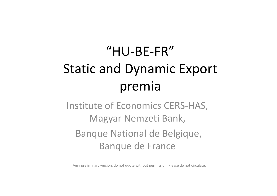# "HU‐BE‐FR"Static and Dynamic Export premia

Institute of Economics CERS‐HAS, Magyar Nemzeti Bank, Banque National de Belgique, Banque de France

Very preliminary version, do not quote without permission. Please do not circulate.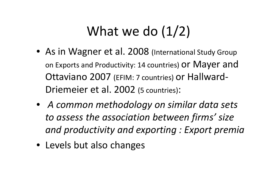## What we do  $(1/2)$

- As in Wagner et al. 2008 (International Study Group on Exports and Productivity: 14 countries) O $\mathsf r$  Maye $\mathsf r$  and Ottaviano 2007 (EFIM: <sup>7</sup> countries) or Hallward‐ Driemeier et al. 2002 (5 countries):
- *A common methodology on similar data sets to assess the association between firms' size and productivity and exporting : Export premia*
- Levels but also changes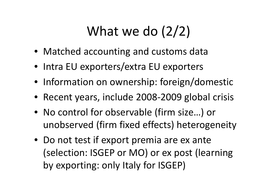## What we do (2/2)

- Matched accounting and customs data
- Intra EU exporters/extra EU exporters
- Information on ownership: foreign/domestic
- Recent years, include 2008‐2009 global crisis
- No control for observable (firm size…) or unobserved (firm fixed effects) heterogeneity
- Do not test if export premia are ex ante (selection: ISGEP or MO) or ex post (learning by exporting: only Italy for ISGEP)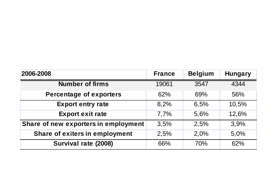| 2006-2008                             | <b>France</b> | <b>Belgium</b> | <b>Hungary</b> |
|---------------------------------------|---------------|----------------|----------------|
| <b>Number of firms</b>                | 19061         | 3547           | 4344           |
| <b>Percentage of exporters</b>        | 62%           | 69%            | 56%            |
| <b>Export entry rate</b>              | 8,2%          | 6,5%           | 10,5%          |
| <b>Export exit rate</b>               | 7,7%          | 5,6%           | 12,6%          |
| Share of new exporters in employment  | 3,5%          | 2.5%           | 3,9%           |
| <b>Share of exiters in employment</b> | 2,5%          | 2,0%           | 5,0%           |
| Survival rate (2008)                  | 66%           | 70%            | 62%            |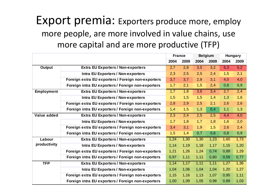### Export premia: Exporters produce more, employ more people, are more involved in value chains, use more capital and are more productive (TFP)

|                                           |                                                    | <b>France</b> |       | <b>Belgium</b>   |                  | <b>Hungary</b> |      |
|-------------------------------------------|----------------------------------------------------|---------------|-------|------------------|------------------|----------------|------|
|                                           |                                                    | 2004          | 2009  | 2004             | 2009             | 2004           | 2009 |
| <b>Output</b>                             | <b>Extra EU Exporters / Non-exporters</b>          | 2,7           | 2,8   | $\overline{3,5}$ | $\overline{3,2}$ | 5,3            | 5,2  |
|                                           | <b>Intra EU Exporters / Non-exporters</b>          | 2,3           | 2,5   | 2,5              | 2,4              | 1,5            | 2,1  |
|                                           | Foreign extra EU exporters / Foreign non-exporters | 3,7           | 3,7   | 2,8              | 3,1              | 4,0            | 4,0  |
|                                           | Foreign intra EU exporters / Foreign non-exporters | 1,7           | 2,1   | 1,5              | 2,4              | 0,8            | 0,9  |
| <b>Employment</b>                         | <b>Extra EU Exporters / Non-exporters</b>          | 1,7           | 1,8   | 3,6              | 3,4              | 2,7            | 2,4  |
| <b>Intra EU Exporters / Non-exporters</b> | 1,5                                                | 1,5           | 1,5   | 1,4              | 1,3              | 1,6            |      |
|                                           | Foreign extra EU exporters / Foreign non-exporters | 2,8           | 2,9   | 2,5              | 2,1              | 2,6            | 2,6  |
|                                           | Foreign intra EU exporters / Foreign non-exporters | 1,4           | 1,5   | 1,3              | 0,4              | 1,1            | 1,3  |
| Value added                               | <b>Extra EU Exporters / Non-exporters</b>          | 2,3           | 2,4   | 2,5              | 2,5              | 4,4            | 4,0  |
|                                           | <b>Intra EU Exporters / Non-exporters</b>          | 1,7           | 1,8   | 1,7              | 1,8              | 1,6            | 2,0  |
|                                           | Foreign extra EU exporters / Foreign non-exporters | 3,4           | 3,1   | 1,9              | 1,5              | 2,6            | 2,4  |
|                                           | Foreign intra EU exporters / Foreign non-exporters | 1,5           | 1,4   | 0,7              | 0,6              | 0,8            | 0,9  |
| Labour<br>productivity                    | <b>Extra EU Exporters / Non-exporters</b>          | 1,24          | 1,30  | 1,30             | 1,23             | 1,60           | 1,73 |
|                                           | <b>Intra EU Exporters / Non-exporters</b>          | 1,14          | 1,19  | 1,18             | 1,17             | 1,15           | 1,20 |
|                                           | Foreign extra EU exporters / Foreign non-exporters | 1,21          | 1,26  | 1,24             | 0,74             | 0,89           | 1,29 |
|                                           | Foreign intra EU exporters / Foreign non-exporters | 0,97          | 1, 11 | 1,11             | 0,80             | 0,59           | 0,77 |
| <b>TFP</b>                                | <b>Extra EU Exporters / Non-exporters</b>          | 1,14          | 1,17  | 1,11             | 1,11             | 1,27           | 1,36 |
|                                           | <b>Intra EU Exporters / Non-exporters</b>          | 1,04          | 1,06  | 1,04             | 1,04             | 1,20           | 1,27 |
|                                           | Foreign extra EU exporters / Foreign non-exporters | 1,15          | 1,16  | 1,13             | 1,07             | 0,95           | 1,11 |
|                                           | Foreign intra EU exporters / Foreign non-exporters | 1,00          | 1,09  | 1,05             | 0,98             | 0,89           | 1,03 |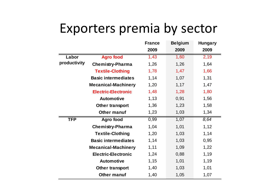### Exporters premia by sector

|              |                            | <b>France</b> | <b>Belgium</b> | <b>Hungary</b> |
|--------------|----------------------------|---------------|----------------|----------------|
|              |                            | 2009          | 2009           | 2009           |
| Labor        | <b>Agro food</b>           | 1,43          | 1,60           | 2,19           |
| productivity | <b>Chemistry-Pharma</b>    | 1,26          | 1,26           | 1,64           |
|              | <b>Textile-Clothing</b>    | 1,78          | 1,47           | 1,66           |
|              | <b>Basic intermediates</b> | 1,14          | 1,07           | 1,31           |
|              | <b>Mecanical-Machinery</b> | 1,20          | 1,17           | 1,47           |
|              | <b>Electric-Electronic</b> | 1,48          | 1,28           | 1,80           |
|              | <b>Automotive</b>          | 1,13          | 0,91           | 1,56           |
|              | <b>Other transport</b>     | 1,36          | 1,23           | 1,58           |
|              | <b>Other manuf</b>         | 1,23          | 1,03           | 1,34           |
| <b>TFP</b>   | <b>Agro food</b>           | 0,99          | 1,07           | 8,64           |
|              | <b>Chemistry-Pharma</b>    | 1,04          | 1,01           | 1,12           |
|              | <b>Textile-Clothing</b>    | 1,20          | 1,03           | 1,14           |
|              | <b>Basic intermediates</b> | 1,14          | 1,03           | 0,95           |
|              | <b>Mecanical-Machinery</b> | 1,11          | 1,09           | 1,22           |
|              | <b>Electric-Electronic</b> | 1,24          | 0,88           | 1,19           |
|              | <b>Automotive</b>          | 1,15          | 1,01           | 1,19           |
|              | <b>Other transport</b>     | 1,40          | 1,03           | 1,01           |
|              | <b>Other manuf</b>         | 1,40          | 1,05           | 1,07           |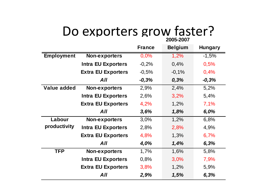#### Do exporters grow faster? **2005-2007**

|                        |                           | <b>France</b> | <b>Belgium</b> | <b>Hungary</b> |
|------------------------|---------------------------|---------------|----------------|----------------|
| <b>Employment</b>      | <b>Non-exporters</b>      | 0,0%          | 1,2%           | $-1,5%$        |
|                        | <b>Intra EU Exporters</b> | $-0,2%$       | 0,4%           | 0,5%           |
|                        | <b>Extra EU Exporters</b> | $-0,5%$       | $-0,1%$        | 0,4%           |
|                        | All                       | $-0,3%$       | 0,3%           | $-0,3%$        |
| <b>Value added</b>     | Non-exporters             | 2,9%          | 2,4%           | 5,2%           |
|                        | <b>Intra EU Exporters</b> | 2,6%          | 3,2%           | 5,4%           |
|                        | <b>Extra EU Exporters</b> | 4,2%          | 1,2%           | 7,1%           |
|                        | All                       | 3,6%          | 1,8%           | 6,0%           |
| Labour<br>productivity | <b>Non-exporters</b>      | 3,0%          | 1,2%           | 6,8%           |
|                        | <b>Intra EU Exporters</b> | 2,8%          | 2,8%           | 4,9%           |
|                        | <b>Extra EU Exporters</b> | 4,8%          | 1,3%           | 6,7%           |
|                        | All                       | 4,0%          | 1,4%           | 6,3%           |
| <b>TFP</b>             | <b>Non-exporters</b>      | 1,7%          | 1,6%           | 5,8%           |
|                        | <b>Intra EU Exporters</b> | 0,8%          | 3,0%           | 7,9%           |
|                        | <b>Extra EU Exporters</b> | 3,8%          | 1,2%           | 5,9%           |
|                        | All                       | 2,9%          | 1,5%           | 6,3%           |